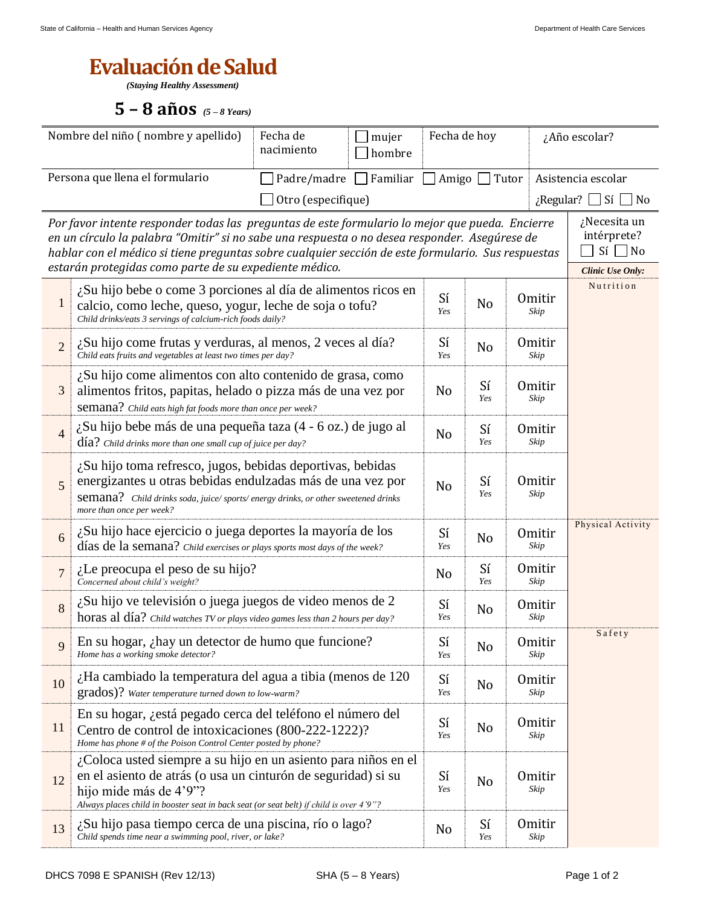## **Evaluación de Salud**

*(Staying Healthy Assessment)*

**5 – 8 años** *(5 – <sup>8</sup> Years)*

| Nombre del niño (nombre y apellido)                                                                                                                                                                                                                                                                                                                              |                                                                                                                                                                                                                                                                                                          | Fecha de<br>mujer<br>nacimiento<br>hombre |                                                         | Fecha de hoy          |                |                       | ¿Año escolar?                                                          |  |  |
|------------------------------------------------------------------------------------------------------------------------------------------------------------------------------------------------------------------------------------------------------------------------------------------------------------------------------------------------------------------|----------------------------------------------------------------------------------------------------------------------------------------------------------------------------------------------------------------------------------------------------------------------------------------------------------|-------------------------------------------|---------------------------------------------------------|-----------------------|----------------|-----------------------|------------------------------------------------------------------------|--|--|
| Persona que llena el formulario                                                                                                                                                                                                                                                                                                                                  |                                                                                                                                                                                                                                                                                                          |                                           | Padre/madre<br>$\Box$ Familiar<br>Amigo<br>$\Box$ Tutor |                       |                |                       | Asistencia escolar                                                     |  |  |
|                                                                                                                                                                                                                                                                                                                                                                  | Otro (especifique)<br>$\lambda$ Regular?<br>$\Box$ Sí<br>$\blacksquare$ No                                                                                                                                                                                                                               |                                           |                                                         |                       |                |                       |                                                                        |  |  |
| Por favor intente responder todas las preguntas de este formulario lo mejor que pueda. Encierre<br>en un círculo la palabra "Omitir" si no sabe una respuesta o no desea responder. Asegúrese de<br>hablar con el médico si tiene preguntas sobre cualquier sección de este formulario. Sus respuestas<br>estarán protegidas como parte de su expediente médico. |                                                                                                                                                                                                                                                                                                          |                                           |                                                         |                       |                |                       | ¿Necesita un<br>intérprete?<br>$Si \Box No$<br><b>Clinic Use Only:</b> |  |  |
| $\mathbf{1}$                                                                                                                                                                                                                                                                                                                                                     | ¿Su hijo bebe o come 3 porciones al día de alimentos ricos en<br>calcio, como leche, queso, yogur, leche de soja o tofu?<br>Child drinks/eats 3 servings of calcium-rich foods daily?                                                                                                                    |                                           |                                                         |                       | No             | <b>Omitir</b><br>Skip | Nutrition                                                              |  |  |
| $\overline{2}$                                                                                                                                                                                                                                                                                                                                                   | ¿Su hijo come frutas y verduras, al menos, 2 veces al día?<br>Child eats fruits and vegetables at least two times per day?                                                                                                                                                                               |                                           |                                                         |                       | No             | <b>Omitir</b><br>Skip |                                                                        |  |  |
| 3                                                                                                                                                                                                                                                                                                                                                                | $\lambda$ Su hijo come alimentos con alto contenido de grasa, como<br>alimentos fritos, papitas, helado o pizza más de una vez por<br>Semana? Child eats high fat foods more than once per week?                                                                                                         |                                           |                                                         |                       | Sí<br>Yes      | <b>Omitir</b><br>Skip |                                                                        |  |  |
| $\overline{4}$                                                                                                                                                                                                                                                                                                                                                   | ¿Su hijo bebe más de una pequeña taza (4 - 6 oz.) de jugo al<br>$\text{d\'ia?}$ Child drinks more than one small cup of juice per day?                                                                                                                                                                   |                                           |                                                         |                       | Sí<br>Yes      | <b>Omitir</b><br>Skip |                                                                        |  |  |
| 5                                                                                                                                                                                                                                                                                                                                                                | ¿Su hijo toma refresco, jugos, bebidas deportivas, bebidas<br>energizantes u otras bebidas endulzadas más de una vez por<br>Semana? Child drinks soda, juice/ sports/ energy drinks, or other sweetened drinks<br>more than once per week?                                                               | N <sub>o</sub>                            | Sí<br>Yes                                               | <b>Omitir</b><br>Skip |                |                       |                                                                        |  |  |
| 6                                                                                                                                                                                                                                                                                                                                                                | ¿Su hijo hace ejercicio o juega deportes la mayoría de los<br>días de la semana? Child exercises or plays sports most days of the week?                                                                                                                                                                  |                                           |                                                         |                       | No             | <b>Omitir</b><br>Skip | Physical Activity                                                      |  |  |
| $\overline{7}$                                                                                                                                                                                                                                                                                                                                                   | $i$ . Le preocupa el peso de su hijo?<br>Concerned about child's weight?                                                                                                                                                                                                                                 |                                           |                                                         | No                    | Sí<br>Yes      | <b>Omitir</b><br>Skip |                                                                        |  |  |
| 8                                                                                                                                                                                                                                                                                                                                                                | $\lambda$ Su hijo ve televisión o juega juegos de video menos de 2<br>horas al día? Child watches TV or plays video games less than 2 hours per day?                                                                                                                                                     |                                           |                                                         |                       | No             | <b>Omitir</b><br>Skip |                                                                        |  |  |
| 9                                                                                                                                                                                                                                                                                                                                                                | En su hogar, ¿hay un detector de humo que funcione?<br>Home has a working smoke detector?                                                                                                                                                                                                                |                                           |                                                         | Sí<br>Yes             | N <sub>o</sub> | Omitir<br>Skip        | Safety                                                                 |  |  |
| 10                                                                                                                                                                                                                                                                                                                                                               | $\dot{\mathcal{L}}$ Ha cambiado la temperatura del agua a tibia (menos de 120<br>Sí<br>Omitir<br>No<br>grados)? Water temperature turned down to low-warm?<br>Skip<br>Yes                                                                                                                                |                                           |                                                         |                       |                |                       |                                                                        |  |  |
| 11                                                                                                                                                                                                                                                                                                                                                               | En su hogar, <i>i</i> está pegado cerca del teléfono el número del<br>Centro de control de intoxicaciones (800-222-1222)?<br>Home has phone # of the Poison Control Center posted by phone?                                                                                                              |                                           |                                                         | Sí<br>Yes             | No             | <b>Omitir</b><br>Skip |                                                                        |  |  |
| 12                                                                                                                                                                                                                                                                                                                                                               | $\lambda$ Coloca usted siempre a su hijo en un asiento para niños en el<br>en el asiento de atrás (o usa un cinturón de seguridad) si su<br>Sí<br><b>Omitir</b><br>No<br>Skip<br>Yes<br>hijo mide más de 4'9"?<br>Always places child in booster seat in back seat (or seat belt) if child is over 4'9"? |                                           |                                                         |                       |                |                       |                                                                        |  |  |
| 13                                                                                                                                                                                                                                                                                                                                                               | ¿Su hijo pasa tiempo cerca de una piscina, río o lago?<br>Child spends time near a swimming pool, river, or lake?                                                                                                                                                                                        | No                                        | Sí<br>Yes                                               | <b>Omitir</b><br>Skip |                |                       |                                                                        |  |  |